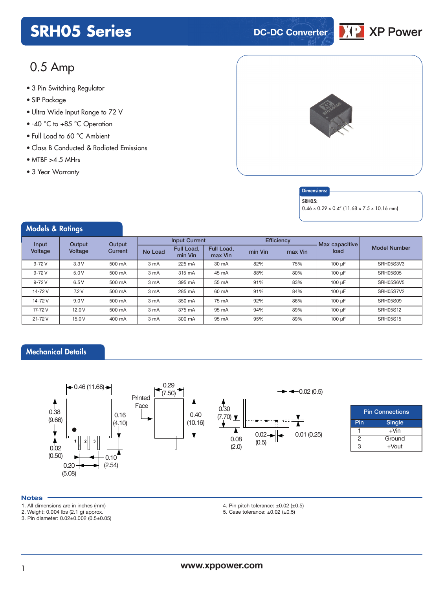## **SRH05 Series DC-DC Converter**



### 0.5 Amp

- **xxx Series** 3 Pin Switching Regulator
- SIP Package
- Ultra Wide Input Range to 72 V
- -40 °C to +85 °C Operation
- Full Load to 60 °C Ambient
- Class B Conducted & Radiated Emissions
- $\bullet$  MTBF  $>4.5$  MHrs
- 3 Year Warranty

Models & Ratings





#### SRH05:

0.46 x 0.29 x 0.4" (11.68 x 7.5 x 10.16 mm)

| <b><i>INCUBIS</i> CC NUTTINGS</b> |                   |                   |                      |                       |                       |            |         |                |                     |
|-----------------------------------|-------------------|-------------------|----------------------|-----------------------|-----------------------|------------|---------|----------------|---------------------|
| Input<br>Voltage                  | Output<br>Voltage | Output<br>Current | <b>Input Current</b> |                       |                       | Efficiency |         | Max capacitive |                     |
|                                   |                   |                   | No Load              | Full Load,<br>min Vin | Full Load,<br>max Vin | min Vin    | max Vin | load           | <b>Model Number</b> |
| $9 - 72V$                         | 3.3V              | 500 mA            | 3 mA                 | 225 mA                | 30 mA                 | 82%        | 75%     | 100 µF         | SRH05S3V3           |
| $9 - 72V$                         | 5.0V              | 500 mA            | 3 mA                 | 315 mA                | 45 mA                 | 88%        | 80%     | 100 µF         | <b>SRH05S05</b>     |
| $9 - 72V$                         | 6.5V              | 500 mA            | 3 mA                 | 395 mA                | 55 mA                 | 91%        | 83%     | 100 µF         | SRH05S6V5           |
| 14-72V                            | 7.2V              | 500 mA            | 3 mA                 | 285 mA                | 60 mA                 | 91%        | 84%     | 100 µF         | SRH05S7V2           |
| 14-72V                            | 9.0V              | 500 mA            | 3 mA                 | 350 mA                | 75 mA                 | 92%        | 86%     | 100 µF         | <b>SRH05S09</b>     |
| 17-72 V                           | 12.0V             | 500 mA            | 3 mA                 | 375 mA                | 95 mA                 | 94%        | 89%     | 100 µF         | <b>SRH05S12</b>     |
| 21-72V                            | 15.0 V            | 400 mA            | 3 mA                 | 300 mA                | 95 mA                 | 95%        | 89%     | 100 µF         | <b>SRH05S15</b>     |

#### Mechanical Details



| <b>Pin Connections</b> |         |  |  |  |  |
|------------------------|---------|--|--|--|--|
| Pin<br><b>Single</b>   |         |  |  |  |  |
|                        | $+$ Vin |  |  |  |  |
| 2                      | Ground  |  |  |  |  |
| З<br>$+$ Vout          |         |  |  |  |  |

#### **Notes**

- 1. All dimensions are in inches (mm)
- 2. Weight: 0.004 lbs (2.1 g) approx.

3. Pin diameter: 0.02±0.002 (0.5±0.05)

4. Pin pitch tolerance:  $\pm 0.02$  ( $\pm 0.5$ )

5. Case tolerance:  $\pm 0.02$  ( $\pm 0.5$ )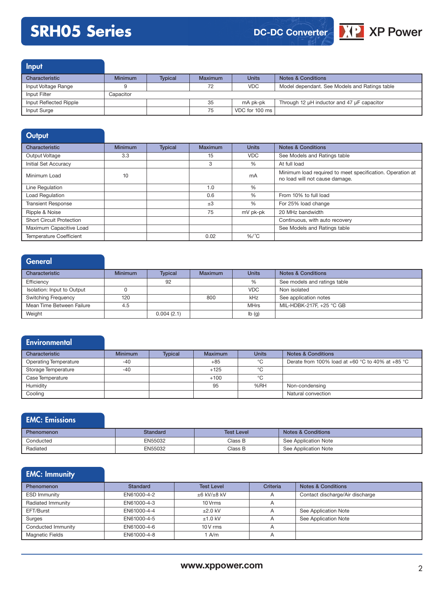# **SRH05 Series**





Input

| Characteristic         | <b>Minimum</b> | <b>Typical</b> | Maximum | <b>Units</b>   | <b>Notes &amp; Conditions</b>                 |
|------------------------|----------------|----------------|---------|----------------|-----------------------------------------------|
| Input Voltage Range    |                |                | 72      | VDC.           | Model dependant. See Models and Ratings table |
| Input Filter           | Capacitor      |                |         |                |                                               |
| Input Reflected Ripple |                |                | 35      | mA pk-pk       | Through 12 µH inductor and 47 µF capacitor    |
| Input Surge            |                |                | 75      | VDC for 100 ms |                                               |

| Output                          |                |                |                |              |                                                                                             |
|---------------------------------|----------------|----------------|----------------|--------------|---------------------------------------------------------------------------------------------|
| Characteristic                  | <b>Minimum</b> | <b>Typical</b> | <b>Maximum</b> | <b>Units</b> | <b>Notes &amp; Conditions</b>                                                               |
| Output Voltage                  | 3.3            |                | 15             | <b>VDC</b>   | See Models and Ratings table                                                                |
| <b>Initial Set Accuracy</b>     |                |                | 3              | %            | At full load                                                                                |
| Minimum Load                    | 10             |                |                | mA           | Minimum load required to meet specification. Operation at<br>no load will not cause damage. |
| Line Regulation                 |                |                | 1.0            | %            |                                                                                             |
| <b>Load Regulation</b>          |                |                | 0.6            | $\%$         | From 10% to full load                                                                       |
| <b>Transient Response</b>       |                |                | $\pm 3$        | %            | For 25% load change                                                                         |
| Ripple & Noise                  |                |                | 75             | mV pk-pk     | 20 MHz bandwidth                                                                            |
| <b>Short Circuit Protection</b> |                |                |                |              | Continuous, with auto recovery                                                              |
| Maximum Capacitive Load         |                |                |                |              | See Models and Ratings table                                                                |
| <b>Temperature Coefficient</b>  |                |                | 0.02           | $\%$ /°C     |                                                                                             |

#### **General** Characteristic **Minimum Typical Maximum Units Notes & Conditions** Efficiency **See models and ratings table** 192 32 32 See models and ratings table Isolation: Input to Output 0 VDC Non isolated Switching Frequency 120 120 800 kHz See application notes Mean Time Between Failure **4.5** 4.5 MIL-HDBK-217F, +25 °C GB Weight **0.004 (2.1) lb (g)**

#### **Environmental**

| Characteristic               | <b>Minimum</b> | <b>Typical</b> | <b>Maximum</b> | <b>Units</b> | <b>Notes &amp; Conditions</b>                    |
|------------------------------|----------------|----------------|----------------|--------------|--------------------------------------------------|
| <b>Operating Temperature</b> | -40            |                | $+85$          | °C           | Derate from 100% load at +60 °C to 40% at +85 °C |
| Storage Temperature          | $-40$          |                | $+125$         | °C           |                                                  |
| Case Temperature             |                |                | $+100$         | °C           |                                                  |
| Humidity                     |                |                | 95             | %RH          | Non-condensing                                   |
| Cooling                      |                |                |                |              | Natural convection                               |

#### EMC: Emissions

| <b>Phenomenon</b> | Standard | <b>Test Level</b> | <b>Notes &amp; Conditions</b> |
|-------------------|----------|-------------------|-------------------------------|
| Conducted         | EN55032  | Class B           | See Application Note          |
| Radiated          | EN55032  | Class B           | See Application Note          |

### EMC: Immunity

| Phenomenon             | Standard    | <b>Test Level</b>      | <b>Criteria</b> | <b>Notes &amp; Conditions</b>   |
|------------------------|-------------|------------------------|-----------------|---------------------------------|
| <b>ESD Immunity</b>    | EN61000-4-2 | $\pm 6$ kV/ $\pm 8$ kV | $\overline{A}$  | Contact discharge/Air discharge |
| Radiated Immunity      | EN61000-4-3 | 10 Vrms                | A               |                                 |
| EFT/Burst              | EN61000-4-4 | $+2.0$ kV              | A               | See Application Note            |
| Surges                 | EN61000-4-5 | $±1.0$ kV              | A               | See Application Note            |
| Conducted Immunity     | EN61000-4-6 | $10V$ rms              | A               |                                 |
| <b>Magnetic Fields</b> | EN61000-4-8 | A/m                    | $\overline{A}$  |                                 |